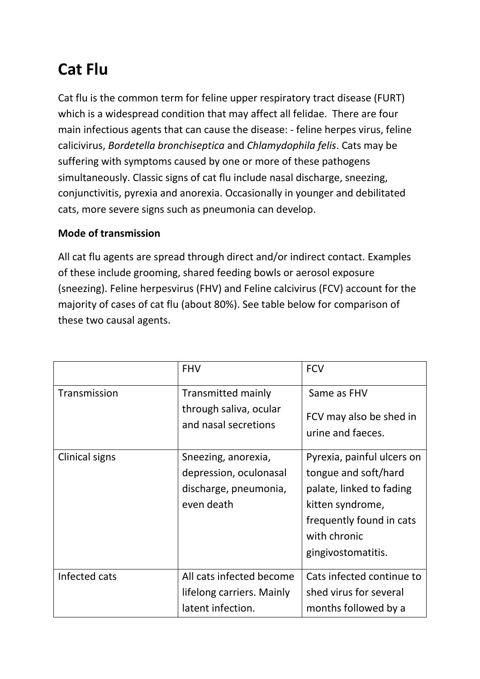# **Cat Flu**

Cat flu is the common term for feline upper respiratory tract disease (FURT) which is a widespread condition that may affect all felidae. There are four main infectious agents that can cause the disease: - feline herpes virus, feline calicivirus, *Bordetella bronchiseptica* and *Chlamydophila felis*. Cats may be suffering with symptoms caused by one or more of these pathogens simultaneously. Classic signs of cat flu include nasal discharge, sneezing, conjunctivitis, pyrexia and anorexia. Occasionally in younger and debilitated cats, more severe signs such as pneumonia can develop.

### **Mode of transmission**

All cat flu agents are spread through direct and/or indirect contact. Examples of these include grooming, shared feeding bowls or aerosol exposure (sneezing). Feline herpesvirus (FHV) and Feline calcivirus (FCV) account for the majority of cases of cat flu (about 80%). See table below for comparison of these two causal agents.

|                       | <b>FHV</b>                                     | <b>FCV</b>                                         |
|-----------------------|------------------------------------------------|----------------------------------------------------|
| Transmission          | Transmitted mainly                             | Same as FHV                                        |
|                       | through saliva, ocular<br>and nasal secretions | FCV may also be shed in<br>urine and faeces.       |
|                       |                                                |                                                    |
| <b>Clinical signs</b> | Sneezing, anorexia,<br>depression, oculonasal  | Pyrexia, painful ulcers on<br>tongue and soft/hard |
|                       | discharge, pneumonia,                          | palate, linked to fading                           |
|                       | even death                                     | kitten syndrome,                                   |
|                       |                                                | frequently found in cats                           |
|                       |                                                | with chronic                                       |
|                       |                                                | gingivostomatitis.                                 |
| Infected cats         | All cats infected become                       | Cats infected continue to                          |
|                       | lifelong carriers. Mainly                      | shed virus for several                             |
|                       | latent infection.                              | months followed by a                               |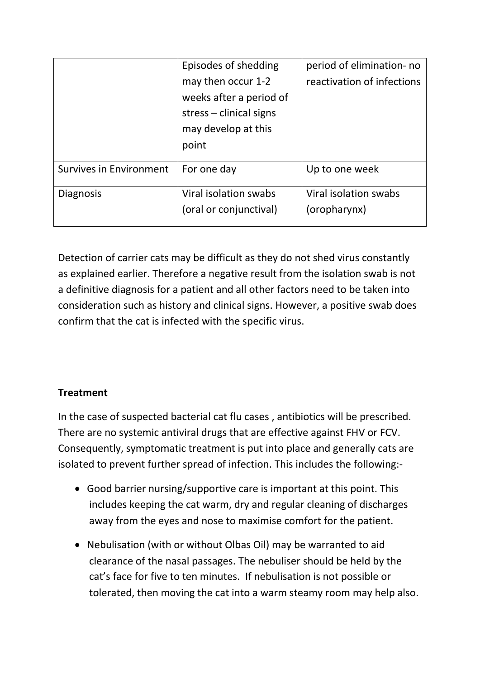|                                | Episodes of shedding      | period of elimination- no  |
|--------------------------------|---------------------------|----------------------------|
|                                | may then occur 1-2        | reactivation of infections |
|                                | weeks after a period of   |                            |
|                                | $stress$ – clinical signs |                            |
|                                | may develop at this       |                            |
|                                | point                     |                            |
| <b>Survives in Environment</b> | For one day               | Up to one week             |
| <b>Diagnosis</b>               | Viral isolation swabs     | Viral isolation swabs      |
|                                | (oral or conjunctival)    | (oropharynx)               |
|                                |                           |                            |

Detection of carrier cats may be difficult as they do not shed virus constantly as explained earlier. Therefore a negative result from the isolation swab is not a definitive diagnosis for a patient and all other factors need to be taken into consideration such as history and clinical signs. However, a positive swab does confirm that the cat is infected with the specific virus.

### **Treatment**

In the case of suspected bacterial cat flu cases , antibiotics will be prescribed. There are no systemic antiviral drugs that are effective against FHV or FCV. Consequently, symptomatic treatment is put into place and generally cats are isolated to prevent further spread of infection. This includes the following:-

- Good barrier nursing/supportive care is important at this point. This includes keeping the cat warm, dry and regular cleaning of discharges away from the eyes and nose to maximise comfort for the patient.
- Nebulisation (with or without Olbas Oil) may be warranted to aid clearance of the nasal passages. The nebuliser should be held by the cat's face for five to ten minutes. If nebulisation is not possible or tolerated, then moving the cat into a warm steamy room may help also.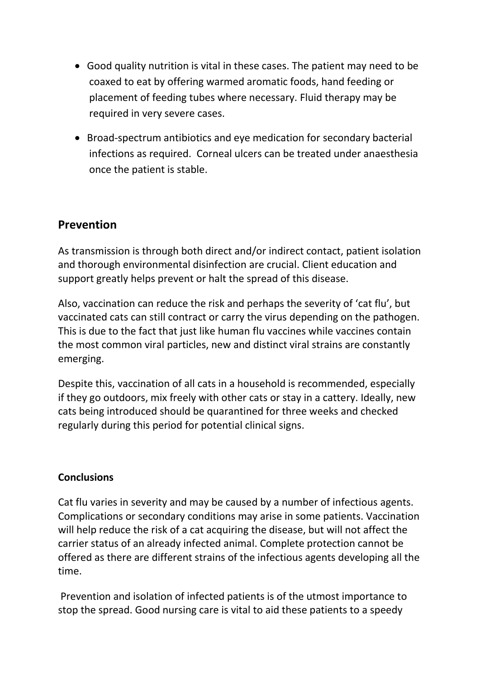- Good quality nutrition is vital in these cases. The patient may need to be coaxed to eat by offering warmed aromatic foods, hand feeding or placement of feeding tubes where necessary. Fluid therapy may be required in very severe cases.
- Broad-spectrum antibiotics and eye medication for secondary bacterial infections as required. Corneal ulcers can be treated under anaesthesia once the patient is stable.

## **Prevention**

As transmission is through both direct and/or indirect contact, patient isolation and thorough environmental disinfection are crucial. Client education and support greatly helps prevent or halt the spread of this disease.

Also, vaccination can reduce the risk and perhaps the severity of 'cat flu', but vaccinated cats can still contract or carry the virus depending on the pathogen. This is due to the fact that just like human flu vaccines while vaccines contain the most common viral particles, new and distinct viral strains are constantly emerging.

Despite this, vaccination of all cats in a household is recommended, especially if they go outdoors, mix freely with other cats or stay in a cattery. Ideally, new cats being introduced should be quarantined for three weeks and checked regularly during this period for potential clinical signs.

### **Conclusions**

Cat flu varies in severity and may be caused by a number of infectious agents. Complications or secondary conditions may arise in some patients. Vaccination will help reduce the risk of a cat acquiring the disease, but will not affect the carrier status of an already infected animal. Complete protection cannot be offered as there are different strains of the infectious agents developing all the time.

Prevention and isolation of infected patients is of the utmost importance to stop the spread. Good nursing care is vital to aid these patients to a speedy